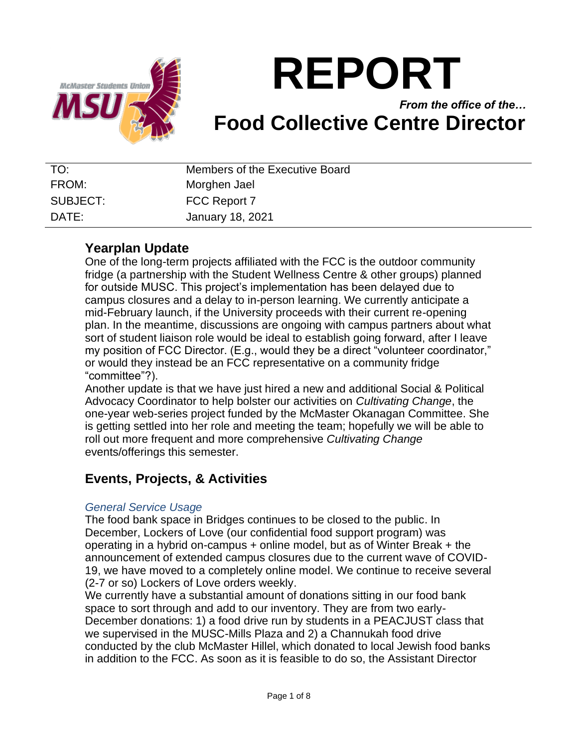

# **REPORT**

*From the office of the…* **Food Collective Centre Director**

| TO:      | Members of the Executive Board |
|----------|--------------------------------|
| FROM:    | Morghen Jael                   |
| SUBJECT: | FCC Report 7                   |
| DATE:    | <b>January 18, 2021</b>        |

# **Yearplan Update**

One of the long-term projects affiliated with the FCC is the outdoor community fridge (a partnership with the Student Wellness Centre & other groups) planned for outside MUSC. This project's implementation has been delayed due to campus closures and a delay to in-person learning. We currently anticipate a mid-February launch, if the University proceeds with their current re-opening plan. In the meantime, discussions are ongoing with campus partners about what sort of student liaison role would be ideal to establish going forward, after I leave my position of FCC Director. (E.g., would they be a direct "volunteer coordinator," or would they instead be an FCC representative on a community fridge "committee"?).

Another update is that we have just hired a new and additional Social & Political Advocacy Coordinator to help bolster our activities on *Cultivating Change*, the one-year web-series project funded by the McMaster Okanagan Committee. She is getting settled into her role and meeting the team; hopefully we will be able to roll out more frequent and more comprehensive *Cultivating Change*  events/offerings this semester.

# **Events, Projects, & Activities**

## *General Service Usage*

The food bank space in Bridges continues to be closed to the public. In December, Lockers of Love (our confidential food support program) was operating in a hybrid on-campus + online model, but as of Winter Break + the announcement of extended campus closures due to the current wave of COVID-19, we have moved to a completely online model. We continue to receive several (2-7 or so) Lockers of Love orders weekly.

We currently have a substantial amount of donations sitting in our food bank space to sort through and add to our inventory. They are from two early-December donations: 1) a food drive run by students in a PEACJUST class that we supervised in the MUSC-Mills Plaza and 2) a Channukah food drive conducted by the club McMaster Hillel, which donated to local Jewish food banks in addition to the FCC. As soon as it is feasible to do so, the Assistant Director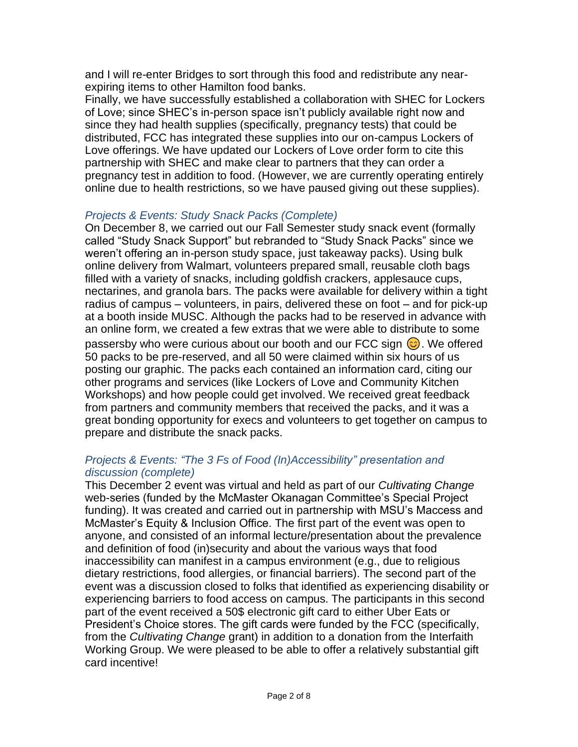and I will re-enter Bridges to sort through this food and redistribute any nearexpiring items to other Hamilton food banks.

Finally, we have successfully established a collaboration with SHEC for Lockers of Love; since SHEC's in-person space isn't publicly available right now and since they had health supplies (specifically, pregnancy tests) that could be distributed, FCC has integrated these supplies into our on-campus Lockers of Love offerings. We have updated our Lockers of Love order form to cite this partnership with SHEC and make clear to partners that they can order a pregnancy test in addition to food. (However, we are currently operating entirely online due to health restrictions, so we have paused giving out these supplies).

## *Projects & Events: Study Snack Packs (Complete)*

On December 8, we carried out our Fall Semester study snack event (formally called "Study Snack Support" but rebranded to "Study Snack Packs" since we weren't offering an in-person study space, just takeaway packs). Using bulk online delivery from Walmart, volunteers prepared small, reusable cloth bags filled with a variety of snacks, including goldfish crackers, applesauce cups, nectarines, and granola bars. The packs were available for delivery within a tight radius of campus – volunteers, in pairs, delivered these on foot – and for pick-up at a booth inside MUSC. Although the packs had to be reserved in advance with an online form, we created a few extras that we were able to distribute to some passersby who were curious about our booth and our FCC sign  $\odot$ . We offered 50 packs to be pre-reserved, and all 50 were claimed within six hours of us posting our graphic. The packs each contained an information card, citing our other programs and services (like Lockers of Love and Community Kitchen Workshops) and how people could get involved. We received great feedback from partners and community members that received the packs, and it was a great bonding opportunity for execs and volunteers to get together on campus to prepare and distribute the snack packs.

## *Projects & Events: "The 3 Fs of Food (In)Accessibility" presentation and discussion (complete)*

This December 2 event was virtual and held as part of our *Cultivating Change*  web-series (funded by the McMaster Okanagan Committee's Special Project funding). It was created and carried out in partnership with MSU's Maccess and McMaster's Equity & Inclusion Office. The first part of the event was open to anyone, and consisted of an informal lecture/presentation about the prevalence and definition of food (in)security and about the various ways that food inaccessibility can manifest in a campus environment (e.g., due to religious dietary restrictions, food allergies, or financial barriers). The second part of the event was a discussion closed to folks that identified as experiencing disability or experiencing barriers to food access on campus. The participants in this second part of the event received a 50\$ electronic gift card to either Uber Eats or President's Choice stores. The gift cards were funded by the FCC (specifically, from the *Cultivating Change* grant) in addition to a donation from the Interfaith Working Group. We were pleased to be able to offer a relatively substantial gift card incentive!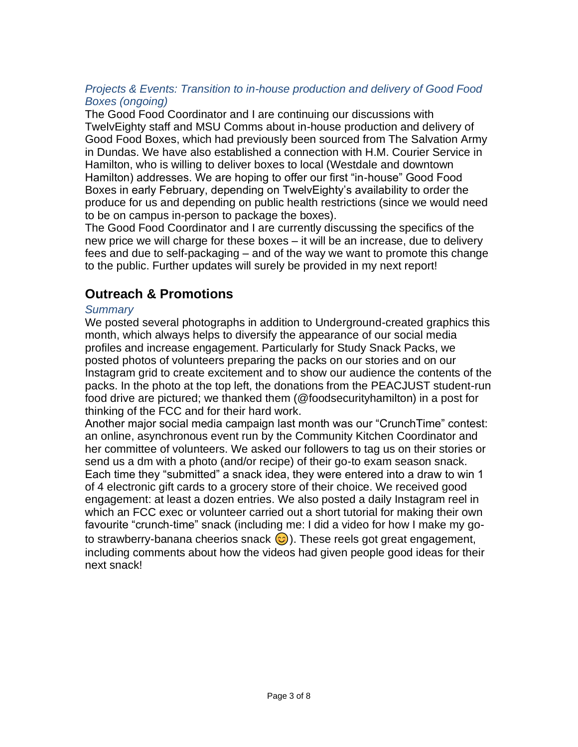## *Projects & Events: Transition to in-house production and delivery of Good Food Boxes (ongoing)*

The Good Food Coordinator and I are continuing our discussions with TwelvEighty staff and MSU Comms about in-house production and delivery of Good Food Boxes, which had previously been sourced from The Salvation Army in Dundas. We have also established a connection with H.M. Courier Service in Hamilton, who is willing to deliver boxes to local (Westdale and downtown Hamilton) addresses. We are hoping to offer our first "in-house" Good Food Boxes in early February, depending on TwelvEighty's availability to order the produce for us and depending on public health restrictions (since we would need to be on campus in-person to package the boxes).

The Good Food Coordinator and I are currently discussing the specifics of the new price we will charge for these boxes – it will be an increase, due to delivery fees and due to self-packaging – and of the way we want to promote this change to the public. Further updates will surely be provided in my next report!

# **Outreach & Promotions**

## *Summary*

We posted several photographs in addition to Underground-created graphics this month, which always helps to diversify the appearance of our social media profiles and increase engagement. Particularly for Study Snack Packs, we posted photos of volunteers preparing the packs on our stories and on our Instagram grid to create excitement and to show our audience the contents of the packs. In the photo at the top left, the donations from the PEACJUST student-run food drive are pictured; we thanked them (@foodsecurityhamilton) in a post for thinking of the FCC and for their hard work.

Another major social media campaign last month was our "CrunchTime" contest: an online, asynchronous event run by the Community Kitchen Coordinator and her committee of volunteers. We asked our followers to tag us on their stories or send us a dm with a photo (and/or recipe) of their go-to exam season snack. Each time they "submitted" a snack idea, they were entered into a draw to win 1 of 4 electronic gift cards to a grocery store of their choice. We received good engagement: at least a dozen entries. We also posted a daily Instagram reel in which an FCC exec or volunteer carried out a short tutorial for making their own favourite "crunch-time" snack (including me: I did a video for how I make my goto strawberry-banana cheerios snack  $\odot$ ). These reels got great engagement, including comments about how the videos had given people good ideas for their next snack!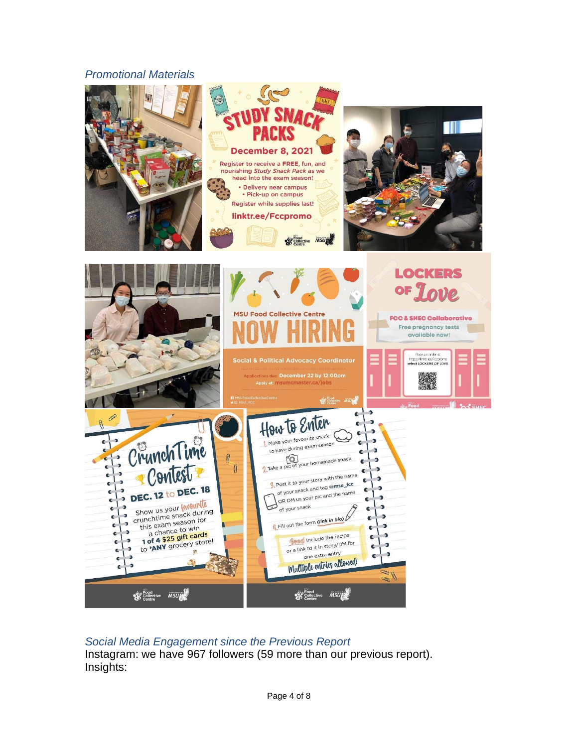#### *Promotional Materials*



### *Social Media Engagement since the Previous Report*

Instagram: we have 967 followers (59 more than our previous report). Insights: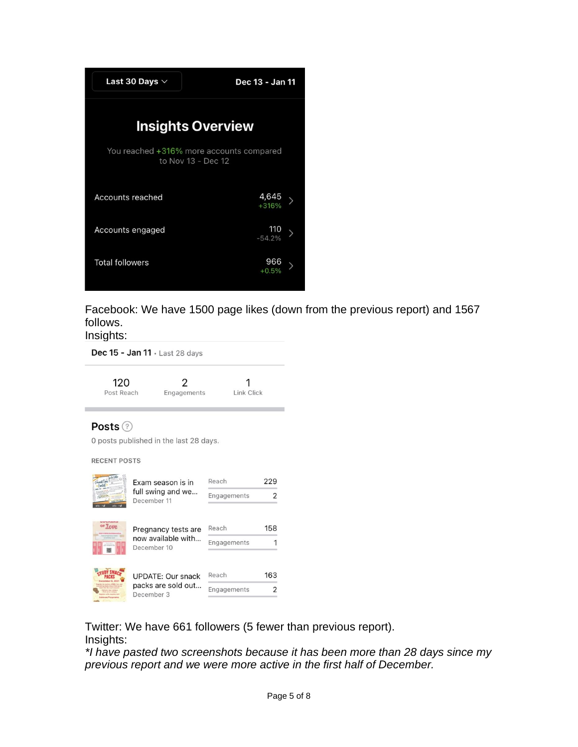

Facebook: We have 1500 page likes (down from the previous report) and 1567 follows.

Insights:

Dec 15 - Jan 11 · Last 28 days

| 120<br>Post Reach                                                        | 2<br>Engagements                                         | Link Click           |          |  |  |  |
|--------------------------------------------------------------------------|----------------------------------------------------------|----------------------|----------|--|--|--|
| Posts ②<br>0 posts published in the last 28 days.<br><b>RECENT POSTS</b> |                                                          |                      |          |  |  |  |
|                                                                          | Exam season is in<br>full swing and we<br>December 11    | Reach<br>Engagements | 229<br>っ |  |  |  |
|                                                                          | Pregnancy tests are<br>now available with<br>December 10 | Reach<br>Engagements | 158      |  |  |  |

163 UPDATE: Our snack Reach packs are sold out...<br>December 3  $\overline{2}$ December 3

Twitter: We have 661 followers (5 fewer than previous report). Insights:

*\*I have pasted two screenshots because it has been more than 28 days since my previous report and we were more active in the first half of December.*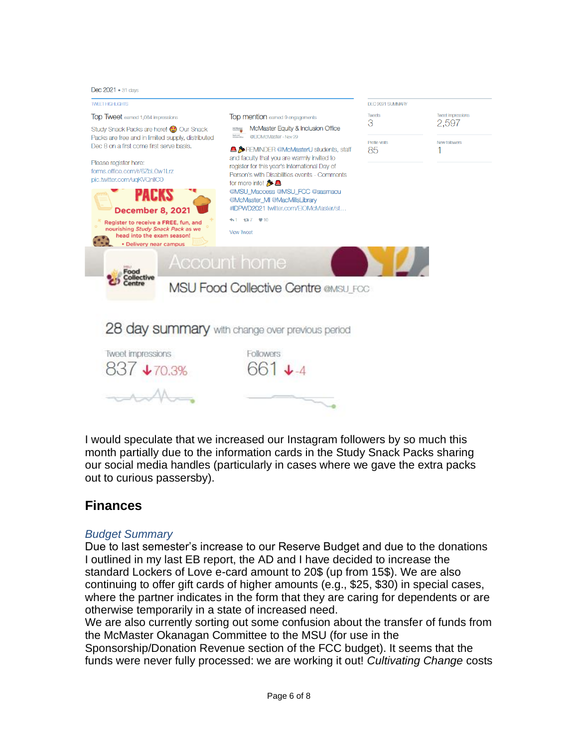Dec 2021 . 31 days



I would speculate that we increased our Instagram followers by so much this month partially due to the information cards in the Study Snack Packs sharing our social media handles (particularly in cases where we gave the extra packs out to curious passersby).

## **Finances**

#### *Budget Summary*

Due to last semester's increase to our Reserve Budget and due to the donations I outlined in my last EB report, the AD and I have decided to increase the standard Lockers of Love e-card amount to 20\$ (up from 15\$). We are also continuing to offer gift cards of higher amounts (e.g., \$25, \$30) in special cases, where the partner indicates in the form that they are caring for dependents or are otherwise temporarily in a state of increased need.

We are also currently sorting out some confusion about the transfer of funds from the McMaster Okanagan Committee to the MSU (for use in the

Sponsorship/Donation Revenue section of the FCC budget). It seems that the funds were never fully processed: we are working it out! *Cultivating Change* costs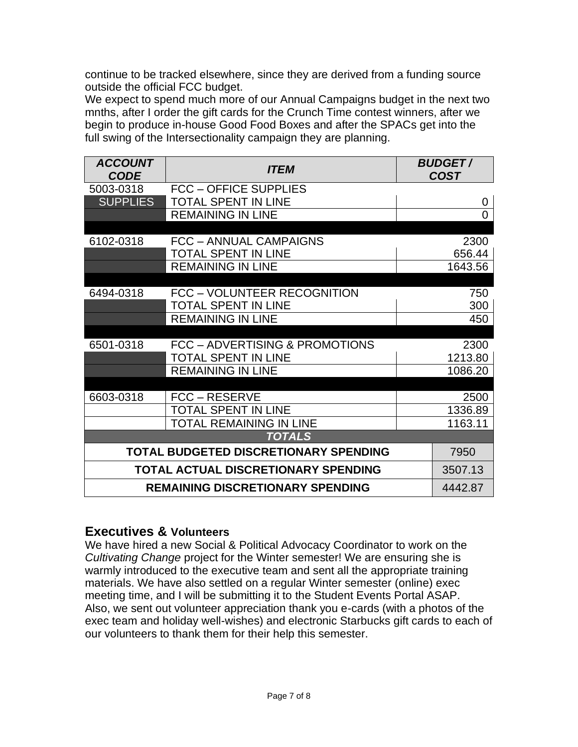continue to be tracked elsewhere, since they are derived from a funding source outside the official FCC budget.

We expect to spend much more of our Annual Campaigns budget in the next two mnths, after I order the gift cards for the Crunch Time contest winners, after we begin to produce in-house Good Food Boxes and after the SPACs get into the full swing of the Intersectionality campaign they are planning.

| <b>ACCOUNT</b><br><b>CODE</b>       | <i><b>ITEM</b></i>                                     |  | <b>BUDGET/</b><br><b>COST</b> |  |
|-------------------------------------|--------------------------------------------------------|--|-------------------------------|--|
| 5003-0318                           | <b>FCC - OFFICE SUPPLIES</b>                           |  |                               |  |
| <b>SUPPLIES</b>                     | <b>TOTAL SPENT IN LINE</b>                             |  | 0                             |  |
|                                     | <b>REMAINING IN LINE</b>                               |  | 0                             |  |
|                                     |                                                        |  |                               |  |
| 6102-0318                           | FCC - ANNUAL CAMPAIGNS                                 |  | 2300                          |  |
|                                     | <b>TOTAL SPENT IN LINE</b>                             |  | 656.44                        |  |
|                                     | <b>REMAINING IN LINE</b>                               |  | 1643.56                       |  |
|                                     |                                                        |  |                               |  |
| 6494-0318                           | FCC - VOLUNTEER RECOGNITION                            |  | 750                           |  |
|                                     | <b>TOTAL SPENT IN LINE</b><br><b>REMAINING IN LINE</b> |  | 300<br>450                    |  |
|                                     |                                                        |  |                               |  |
| 6501-0318                           | FCC - ADVERTISING & PROMOTIONS                         |  | 2300                          |  |
|                                     | <b>TOTAL SPENT IN LINE</b>                             |  | 1213.80                       |  |
|                                     | <b>REMAINING IN LINE</b>                               |  | 1086.20                       |  |
|                                     |                                                        |  |                               |  |
| 6603-0318                           | FCC – RESERVE                                          |  | 2500                          |  |
|                                     | <b>TOTAL SPENT IN LINE</b>                             |  | 1336.89                       |  |
|                                     | TOTAL REMAINING IN LINE                                |  | 1163.11                       |  |
| <b>TOTALS</b>                       |                                                        |  |                               |  |
|                                     | TOTAL BUDGETED DISCRETIONARY SPENDING                  |  | 7950                          |  |
| TOTAL ACTUAL DISCRETIONARY SPENDING |                                                        |  | 3507.13                       |  |
|                                     | <b>REMAINING DISCRETIONARY SPENDING</b>                |  | 4442.87                       |  |

## **Executives & Volunteers**

We have hired a new Social & Political Advocacy Coordinator to work on the *Cultivating Change* project for the Winter semester! We are ensuring she is warmly introduced to the executive team and sent all the appropriate training materials. We have also settled on a regular Winter semester (online) exec meeting time, and I will be submitting it to the Student Events Portal ASAP. Also, we sent out volunteer appreciation thank you e-cards (with a photos of the exec team and holiday well-wishes) and electronic Starbucks gift cards to each of our volunteers to thank them for their help this semester.